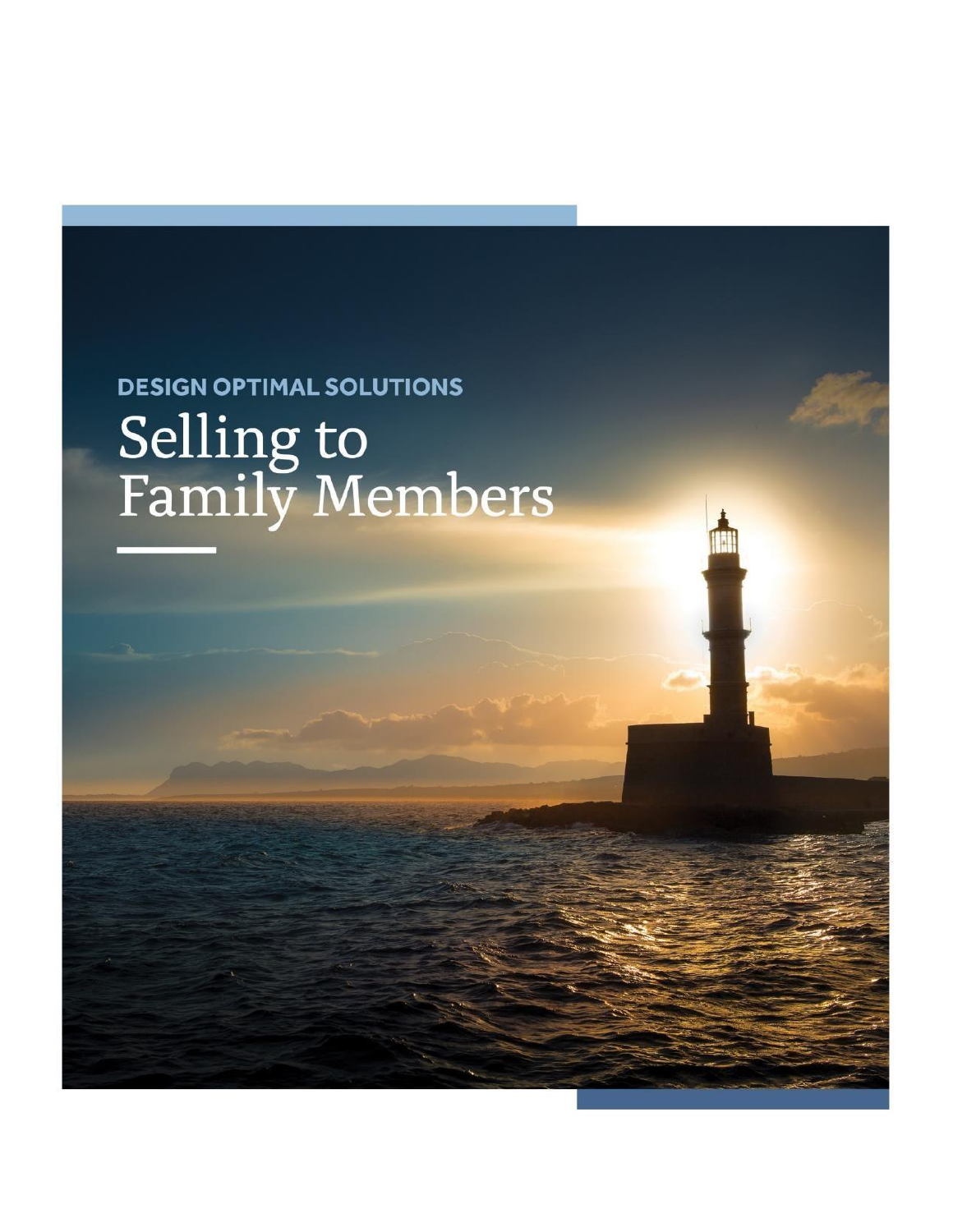# **DESIGN OPTIMAL SOLUTIONS** Selling to<br>Family Members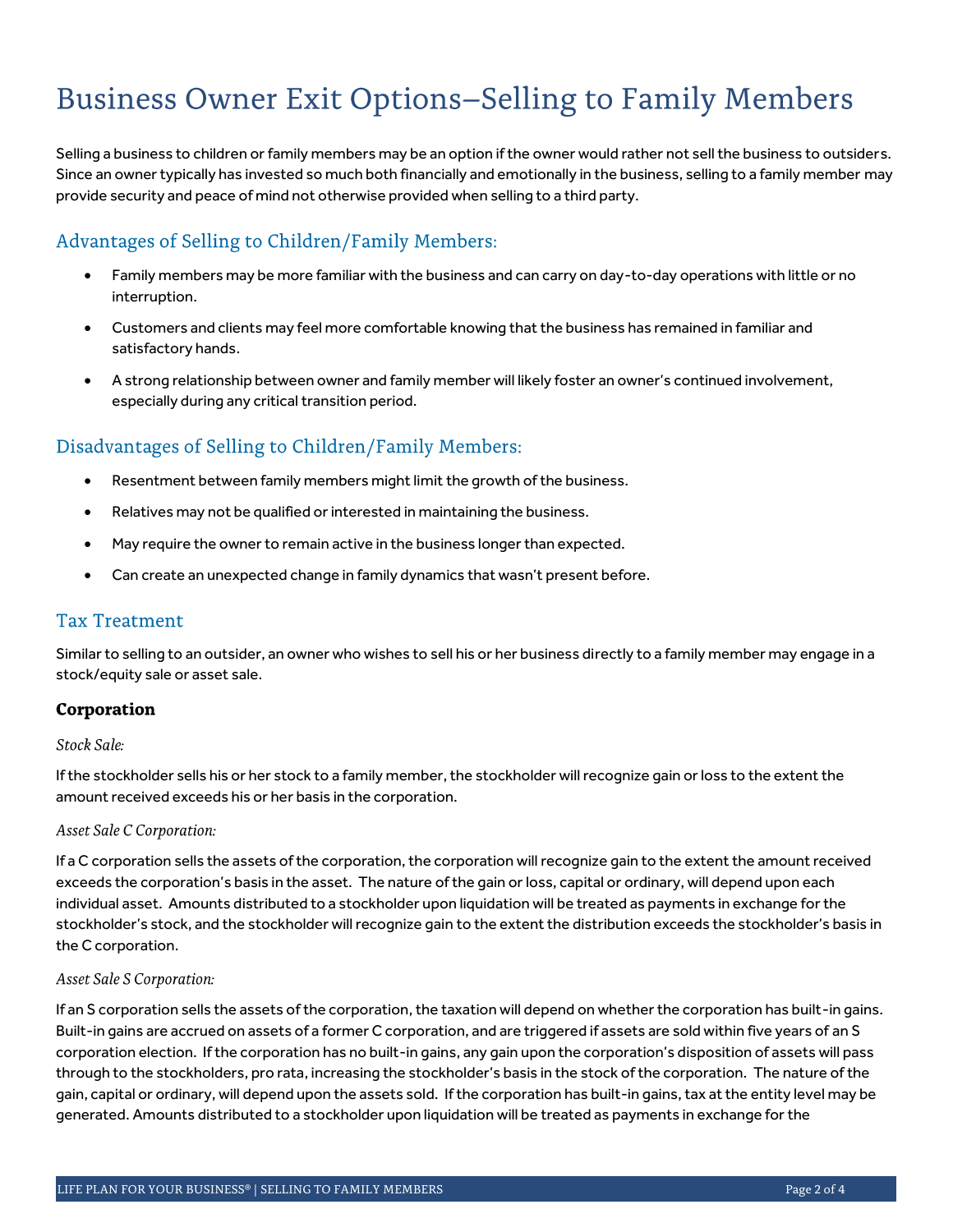# **Business Owner Exit Options-Selling to Family Members**

Selling a business to children or family members may be an option if the owner would rather not sell the business to outsiders. Since an owner typically has invested so much both financially and emotionally in the business, selling to a family member may provide security and peace of mind not otherwise provided when selling to a third party.

# Advantages of Selling to Children/Family Members:

- Family members may be more familiar with the business and can carry on day-to-day operations with little or no interruption.
- Customers and clients may feel more comfortable knowing that the business has remained in familiar and satisfactory hands.
- A strong relationship between owner and family member will likely foster an owner's continued involvement, especially during any critical transition period.

# Disadvantages of Selling to Children/Family Members:

- Resentment between family members might limit the growth of the business.
- Relatives may not be qualified or interested in maintaining the business.
- May require the owner to remain active in the business longer than expected.
- Can create an unexpected change in family dynamics that wasn't present before.

# **Tax Treatment**

Similar to selling to an outsider, an owner who wishes to sell his or her business directly to a family member may engage in a stock/equity sale or asset sale.

# Corporation

#### Stock Sale:

If the stockholder sells his or her stock to a family member, the stockholder will recognize gain or loss to the extent the amount received exceeds his or her basis in the corporation.

#### Asset Sale C Corporation:

If a C corporation sells the assets of the corporation, the corporation will recognize gain to the extent the amount received exceeds the corporation's basis in the asset. The nature of the gain or loss, capital or ordinary, will depend upon each individual asset. Amounts distributed to a stockholder upon liquidation will be treated as payments in exchange for the stockholder's stock, and the stockholder will recognize gain to the extent the distribution exceeds the stockholder's basis in the C corporation.

#### Asset Sale S Corporation:

If an S corporation sells the assets of the corporation, the taxation will depend on whether the corporation has built-in gains. Built-in gains are accrued on assets of a former C corporation, and are triggered if assets are sold within five years of an S corporation election. If the corporation has no built-in gains, any gain upon the corporation's disposition of assets will pass through to the stockholders, pro rata, increasing the stockholder's basis in the stock of the corporation. The nature of the gain, capital or ordinary, will depend upon the assets sold. If the corporation has built-in gains, tax at the entity level may be generated. Amounts distributed to a stockholder upon liquidation will be treated as payments in exchange for the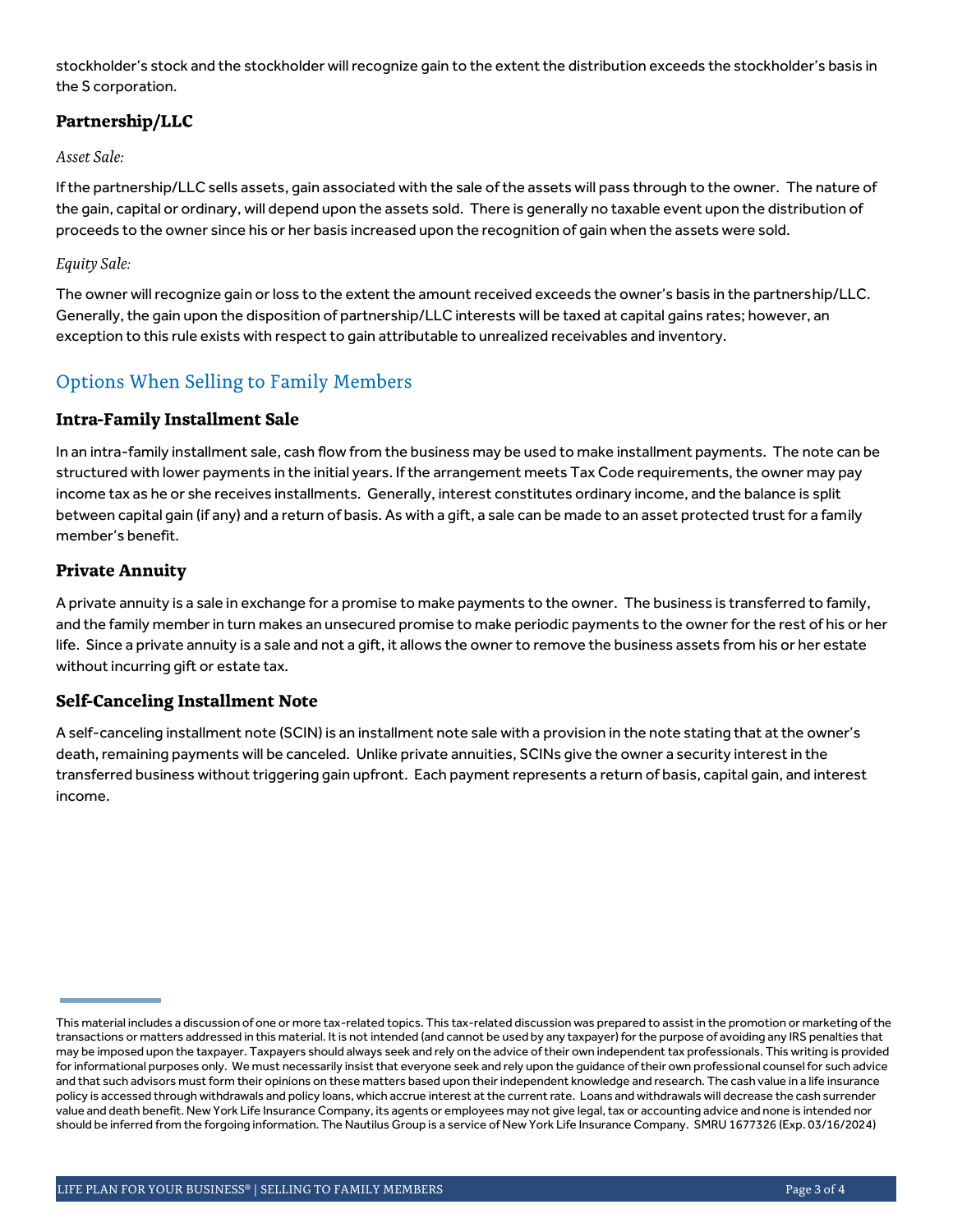stockholder's stock and the stockholder will recognize gain to the extent the distribution exceeds the stockholder's basis in the S corporation.

# Partnership/LLC

### Asset Sale:

If the partnership/LLC sells assets, gain associated with the sale of the assets will pass through to the owner. The nature of the gain, capital or ordinary, will depend upon the assets sold. There is generally no taxable event upon the distribution of proceeds to the owner since his or her basis increased upon the recognition of gain when the assets were sold.

#### Equity Sale:

The owner will recognize gain or loss to the extent the amount received exceeds the owner's basis in the partnership/LLC. Generally, the gain upon the disposition of partnership/LLC interests will be taxed at capital gains rates; however, an exception to this rule exists with respect to gain attributable to unrealized receivables and inventory.

# Options When Selling to Family Members

# **Intra-Family Installment Sale**

In an intra-family installment sale, cash flow from the business may be used to make installment payments. The note can be structured with lower payments in the initial years. If the arrangement meets Tax Code requirements, the owner may pay income tax as he or she receives installments. Generally, interest constitutes ordinary income, and the balance is split between capital gain (if any) and a return of basis. As with a gift, a sale can be made to an asset protected trust for a family member's benefit.

# **Private Annuity**

A private annuity is a sale in exchange for a promise to make payments to the owner. The business is transferred to family, and the family member in turn makes an unsecured promise to make periodic payments to the owner for the rest of his or her life. Since a private annuity is a sale and not a gift, it allows the owner to remove the business assets from his or her estate without incurring gift or estate tax.

# **Self-Canceling Installment Note**

A self-canceling installment note (SCIN) is an installment note sale with a provision in the note stating that at the owner's death, remaining payments will be canceled. Unlike private annuities, SCINs give the owner a security interest in the transferred business without triggering gain upfront. Each payment represents a return of basis, capital gain, and interest income.

This material includes a discussion of one or more tax-related topics. This tax-related discussion was prepared to assist in the promotion or marketing of the transactions or matters addressed in this material. It is not intended (and cannot be used by any taxpayer) for the purpose of avoiding any IRS penalties that may be imposed upon the taxpayer. Taxpayers should always seek and rely on the advice of their own independent tax professionals. This writing is provided for informational purposes only. We must necessarily insist that everyone seek and rely upon the guidance of their own professional counsel for such advice and that such advisors must form their opinions on these matters based upon their independent knowledge and research. The cash value in a life insurance policy is accessed through withdrawals and policy loans, which accrue interest at the current rate. Loans and withdrawals will decrease the cash surrender value and death benefit. New York Life Insurance Company, its agents or employees may not give legal, tax or accounting advice and none is intended nor should be inferred from the forgoing information. The Nautilus Group is a service of New York Life Insurance Company. SMRU 1677326 (Exp. 03/16/2024)